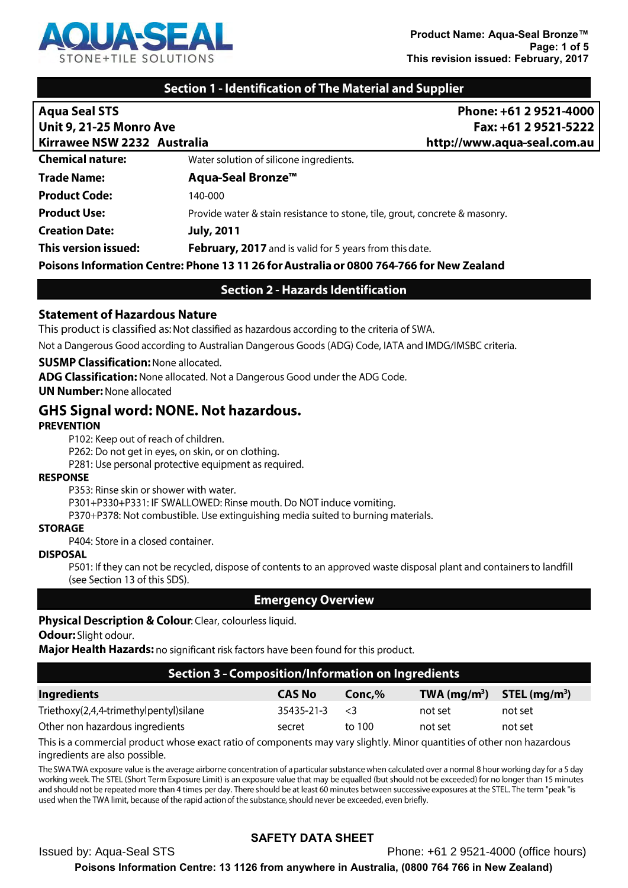

### **Section 1 - Identification of The Material and Supplier**

| <b>Aqua Seal STS</b>                                                                     | Phone: +61 2 9521-4000                                                      |  |
|------------------------------------------------------------------------------------------|-----------------------------------------------------------------------------|--|
| <b>Unit 9, 21-25 Monro Ave</b>                                                           | Fax: +61 2 9521-5222                                                        |  |
| Kirrawee NSW 2232 Australia                                                              | http://www.aqua-seal.com.au                                                 |  |
| <b>Chemical nature:</b>                                                                  | Water solution of silicone ingredients.                                     |  |
| <b>Trade Name:</b>                                                                       | Aqua-Seal Bronze <sup>™</sup>                                               |  |
| <b>Product Code:</b>                                                                     | 140-000                                                                     |  |
| <b>Product Use:</b>                                                                      | Provide water & stain resistance to stone, tile, grout, concrete & masonry. |  |
| <b>Creation Date:</b>                                                                    | <b>July, 2011</b>                                                           |  |
| This version issued:                                                                     | February, 2017 and is valid for 5 years from this date.                     |  |
| Poisons Information Centre: Phone 13 11 26 for Australia or 0800 764-766 for New Zealand |                                                                             |  |

### **Section 2 - Hazards Identification**

#### **Statement of Hazardous Nature**

This product is classified as: Not classified as hazardous according to the criteria of SWA.

Not a Dangerous Good according to Australian Dangerous Goods (ADG) Code, IATA and IMDG/IMSBC criteria.

#### **SUSMP Classification: None allocated.**

ADG Classification: None allocated. Not a Dangerous Good under the ADG Code.

**UN Number: None allocated** 

### **GHS Signal word: NONE. Not hazardous.**

#### **PREVENTION**

P102: Keep out of reach of children.

P262: Do not get in eyes, on skin, or on clothing.

P281: Use personal protective equipment as required.

#### **RESPONSE**

P353: Rinse skin or shower with water.

P301+P330+P331: IF SWALLOWED: Rinse mouth. Do NOT induce vomiting.

P370+P378: Not combustible. Use extinguishing media suited to burning materials.

#### **STORAGE**

P404: Store in a closed container.

#### **DISPOSAL**

P501: If they can not be recycled, dispose of contents to an approved waste disposal plant and containers to landfill (see Section 13 of this SDS).

#### **Emergency Overview**

#### Physical Description & Colour: Clear, colourless liquid.

#### Odour: Slight odour.

Major Health Hazards: no significant risk factors have been found for this product.

#### **Section 3 - Composition/Information on Ingredients**

| <b>Ingredients</b>                     | <b>CAS No</b> | Conc, % | TWA $(mg/m^3)$ STEL $(mg/m^3)$ |         |
|----------------------------------------|---------------|---------|--------------------------------|---------|
| Triethoxy(2,4,4-trimethylpentyl)silane | 35435-21-3    | - 3     | not set                        | not set |
| Other non hazardous ingredients        | secret        | to 100  | not set                        | not set |
|                                        |               |         |                                |         |

This is a commercial product whose exact ratio of components may vary slightly. Minor quantities of other non hazardous ingredients are also possible.

The SWA TWA exposure value is the average airborne concentration of a particular substance when calculated over a normal 8 hour working day for a 5 day working week. The STEL (Short Term Exposure Limit) is an exposure value that may be equalled (but should not be exceeded) for no longer than 15 minutes and should not be repeated more than 4 times per day. There should be at least 60 minutes between successive exposures at the STEL. The term "peak "is used when the TWA limit, because of the rapid action of the substance, should never be exceeded, even briefly.

# **SAFETY DATA SHEET**

**Issued by: Aqua-Seal STS** Phone: +61 2 9521-4000 (office hours) Poisons Information Centre: 13 1126 from anywhere in Australia, (0800 764 766 in New Zealand)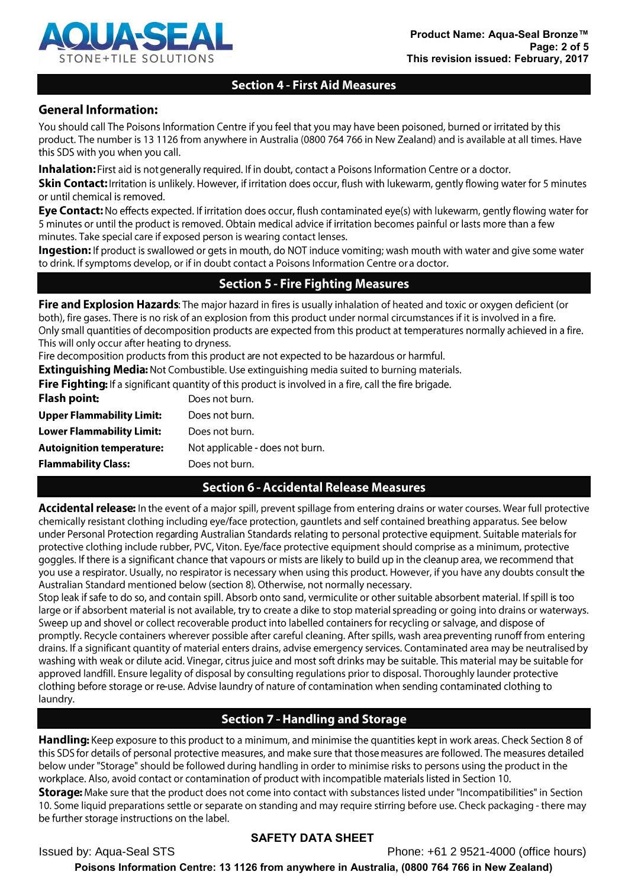

# **Section 4 - First Aid Measures**

# **General Information:**

You should call The Poisons Information Centre if you feel that you may have been poisoned, burned or irritated by this product. The number is 13 1126 from anywhere in Australia (0800 764 766 in New Zealand) and is available at all times. Have this SDS with you when you call.

**Inhalation:** First aid is not generally required. If in doubt, contact a Poisons Information Centre or a doctor.

Skin Contact: Irritation is unlikely. However, if irritation does occur, flush with lukewarm, gently flowing water for 5 minutes or until chemical is removed.

Eye Contact: No effects expected. If irritation does occur, flush contaminated eye(s) with lukewarm, gently flowing water for 5 minutes or until the product is removed. Obtain medical advice if irritation becomes painful or lasts more than a few minutes. Take special care if exposed person is wearing contact lenses.

Ingestion: If product is swallowed or gets in mouth, do NOT induce vomiting; wash mouth with water and give some water to drink. If symptoms develop, or if in doubt contact a Poisons Information Centre or a doctor.

# **Section 5 - Fire Fighting Measures**

Fire and Explosion Hazards: The major hazard in fires is usually inhalation of heated and toxic or oxygen deficient (or both), fire gases. There is no risk of an explosion from this product under normal circumstances if it is involved in a fire. Only small quantities of decomposition products are expected from this product at temperatures normally achieved in a fire. This will only occur after heating to dryness.

Fire decomposition products from this product are not expected to be hazardous or harmful.

**Extinguishing Media:** Not Combustible. Use extinguishing media suited to burning materials.

Fire Fighting: If a significant quantity of this product is involved in a fire, call the fire brigade.

| <b>Flash point:</b>              | Does not burn.                  |
|----------------------------------|---------------------------------|
| <b>Upper Flammability Limit:</b> | Does not burn.                  |
| <b>Lower Flammability Limit:</b> | Does not burn.                  |
| <b>Autoignition temperature:</b> | Not applicable - does not burn. |
| <b>Flammability Class:</b>       | Does not burn.                  |
|                                  |                                 |

# **Section 6 - Accidental Release Measures**

Accidental release: In the event of a major spill, prevent spillage from entering drains or water courses. Wear full protective chemically resistant clothing including eye/face protection, gauntlets and self contained breathing apparatus. See below under Personal Protection regarding Australian Standards relating to personal protective equipment. Suitable materials for protective clothing include rubber, PVC, Viton. Eye/face protective equipment should comprise as a minimum, protective goggles. If there is a significant chance that vapours or mists are likely to build up in the cleanup area, we recommend that you use a respirator. Usually, no respirator is necessary when using this product. However, if you have any doubts consult the Australian Standard mentioned below (section 8). Otherwise, not normally necessary.

Stop leak if safe to do so, and contain spill. Absorb onto sand, vermiculite or other suitable absorbent material. If spill is too large or if absorbent material is not available, try to create a dike to stop material spreading or going into drains or waterways. Sweep up and shovel or collect recoverable product into labelled containers for recycling or salvage, and dispose of promptly. Recycle containers wherever possible after careful cleaning. After spills, wash area preventing runoff from entering drains. If a significant quantity of material enters drains, advise emergency services. Contaminated area may be neutralised by washing with weak or dilute acid. Vinegar, citrus juice and most soft drinks may be suitable. This material may be suitable for approved landfill. Ensure legality of disposal by consulting regulations prior to disposal. Thoroughly launder protective clothing before storage or re-use. Advise laundry of nature of contamination when sending contaminated clothing to laundry.

# **Section 7 - Handling and Storage**

**Handling:** Keep exposure to this product to a minimum, and minimise the quantities kept in work areas. Check Section 8 of this SDS for details of personal protective measures, and make sure that those measures are followed. The measures detailed below under "Storage" should be followed during handling in order to minimise risks to persons using the product in the workplace. Also, avoid contact or contamination of product with incompatible materials listed in Section 10.

Storage: Make sure that the product does not come into contact with substances listed under "Incompatibilities" in Section 10. Some liquid preparations settle or separate on standing and may require stirring before use. Check packaging - there may be further storage instructions on the label.

# **SAFETY DATA SHEET**

**Issued by: Aqua-Seal STS** Phone: +61 2 9521-4000 (office hours) Poisons Information Centre: 13 1126 from anywhere in Australia, (0800 764 766 in New Zealand)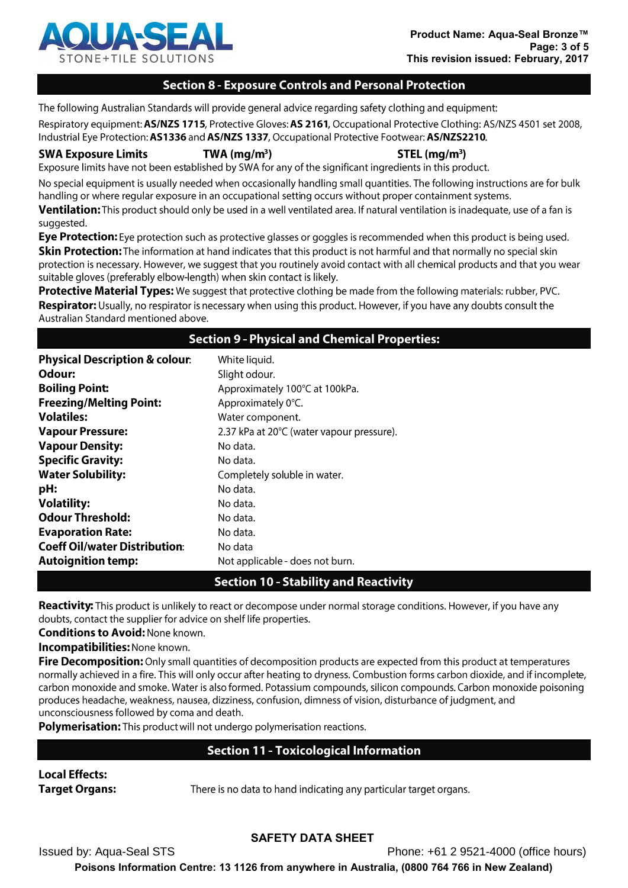

### **Section 8 - Exposure Controls and Personal Protection**

The following Australian Standards will provide general advice regarding safety clothing and equipment:

Respiratory equipment: AS/NZS 1715, Protective Gloves: AS 2161, Occupational Protective Clothing: AS/NZS 4501 set 2008, Industrial Eye Protection: AS1336 and AS/NZS 1337, Occupational Protective Footwear: AS/NZS2210.

**SWA Exposure Limits** 

 $STEL$  (mg/m<sup>3</sup>)

Exposure limits have not been established by SWA for any of the significant ingredients in this product.

 $TWA$  (mg/m<sup>3</sup>)

No special equipment is usually needed when occasionally handling small quantities. The following instructions are for bulk handling or where regular exposure in an occupational setting occurs without proper containment systems.

Ventilation: This product should only be used in a well ventilated area. If natural ventilation is inadequate, use of a fan is suggested.

Eye Protection: Eye protection such as protective glasses or goggles is recommended when this product is being used. Skin Protection: The information at hand indicates that this product is not harmful and that normally no special skin protection is necessary. However, we suggest that you routinely avoid contact with all chemical products and that you wear suitable gloves (preferably elbow-length) when skin contact is likely.

Protective Material Types: We suggest that protective clothing be made from the following materials: rubber, PVC. Respirator: Usually, no respirator is necessary when using this product. However, if you have any doubts consult the Australian Standard mentioned above.

### **Section 9 - Physical and Chemical Properties:**

| <b>Physical Description &amp; colour:</b> | White liquid.                             |
|-------------------------------------------|-------------------------------------------|
| Odour:                                    | Slight odour.                             |
| <b>Boiling Point:</b>                     | Approximately 100°C at 100kPa.            |
| <b>Freezing/Melting Point:</b>            | Approximately 0°C.                        |
| <b>Volatiles:</b>                         | Water component.                          |
| <b>Vapour Pressure:</b>                   | 2.37 kPa at 20°C (water vapour pressure). |
| <b>Vapour Density:</b>                    | No data.                                  |
| <b>Specific Gravity:</b>                  | No data.                                  |
| <b>Water Solubility:</b>                  | Completely soluble in water.              |
| pH:                                       | No data.                                  |
| <b>Volatility:</b>                        | No data.                                  |
| <b>Odour Threshold:</b>                   | No data.                                  |
| <b>Evaporation Rate:</b>                  | No data.                                  |
| <b>Coeff Oil/water Distribution:</b>      | No data                                   |
| <b>Autoignition temp:</b>                 | Not applicable - does not burn.           |

# **Section 10 - Stability and Reactivity**

Reactivity: This product is unlikely to react or decompose under normal storage conditions. However, if you have any doubts, contact the supplier for advice on shelf life properties.

**Conditions to Avoid: None known.** 

**Incompatibilities: None known.** 

Fire Decomposition: Only small quantities of decomposition products are expected from this product at temperatures normally achieved in a fire. This will only occur after heating to dryness. Combustion forms carbon dioxide, and if incomplete, carbon monoxide and smoke. Water is also formed. Potassium compounds, silicon compounds. Carbon monoxide poisoning produces headache, weakness, nausea, dizziness, confusion, dimness of vision, disturbance of judgment, and unconsciousness followed by coma and death.

Polymerisation: This product will not undergo polymerisation reactions.

# **Section 11 - Toxicological Information**

#### **Local Effects: Target Organs:**

There is no data to hand indicating any particular target organs.

# **SAFETY DATA SHEET**

**Issued by: Aqua-Seal STS** Phone: +61 2 9521-4000 (office hours) Poisons Information Centre: 13 1126 from anywhere in Australia, (0800 764 766 in New Zealand)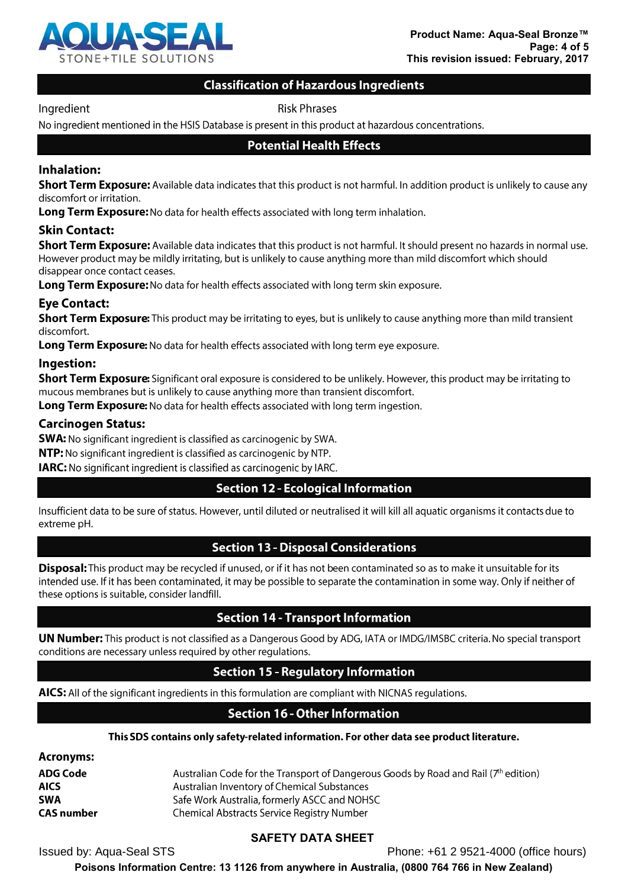

### **Classification of Hazardous Ingredients**

#### Ingredient

**Risk Phrases** 

No ingredient mentioned in the HSIS Database is present in this product at hazardous concentrations.

#### **Potential Health Effects**

### Inhalation:

Short Term Exposure: Available data indicates that this product is not harmful. In addition product is unlikely to cause any discomfort or irritation.

Long Term Exposure: No data for health effects associated with long term inhalation.

#### **Skin Contact:**

**Short Term Exposure:** Available data indicates that this product is not harmful. It should present no hazards in normal use. However product may be mildly irritating, but is unlikely to cause anything more than mild discomfort which should disappear once contact ceases.

Long Term Exposure: No data for health effects associated with long term skin exposure.

#### **Eye Contact:**

**Short Term Exposure:** This product may be irritating to eyes, but is unlikely to cause anything more than mild transient discomfort.

Long Term Exposure: No data for health effects associated with long term eye exposure.

#### Ingestion:

**Short Term Exposure:** Significant oral exposure is considered to be unlikely. However, this product may be irritating to mucous membranes but is unlikely to cause anything more than transient discomfort.

**Long Term Exposure:** No data for health effects associated with long term ingestion.

#### **Carcinogen Status:**

**SWA:** No significant ingredient is classified as carcinogenic by SWA.

NTP: No significant ingredient is classified as carcinogenic by NTP.

IARC: No significant ingredient is classified as carcinogenic by IARC.

# **Section 12 - Ecological Information**

Insufficient data to be sure of status. However, until diluted or neutralised it will kill all aquatic organisms it contacts due to extreme pH.

# **Section 13 - Disposal Considerations**

**Disposal:** This product may be recycled if unused, or if it has not been contaminated so as to make it unsuitable for its intended use. If it has been contaminated, it may be possible to separate the contamination in some way. Only if neither of these options is suitable, consider landfill.

#### **Section 14 - Transport Information**

**UN Number:** This product is not classified as a Dangerous Good by ADG, IATA or IMDG/IMSBC criteria. No special transport conditions are necessary unless required by other regulations.

# **Section 15 - Regulatory Information**

AICS: All of the significant ingredients in this formulation are compliant with NICNAS regulations.

# **Section 16 - Other Information**

#### This SDS contains only safety-related information. For other data see product literature.

| Acronyms:         |                                                                                     |
|-------------------|-------------------------------------------------------------------------------------|
| ADG Code          | Australian Code for the Transport of Dangerous Goods by Road and Rail (7th edition) |
| <b>AICS</b>       | Australian Inventory of Chemical Substances                                         |
| <b>SWA</b>        | Safe Work Australia, formerly ASCC and NOHSC                                        |
| <b>CAS number</b> | Chemical Abstracts Service Registry Number                                          |

# **SAFETY DATA SHEET**

**Issued by: Aqua-Seal STS** 

Phone: +61 2 9521-4000 (office hours)

Poisons Information Centre: 13 1126 from anywhere in Australia, (0800 764 766 in New Zealand)